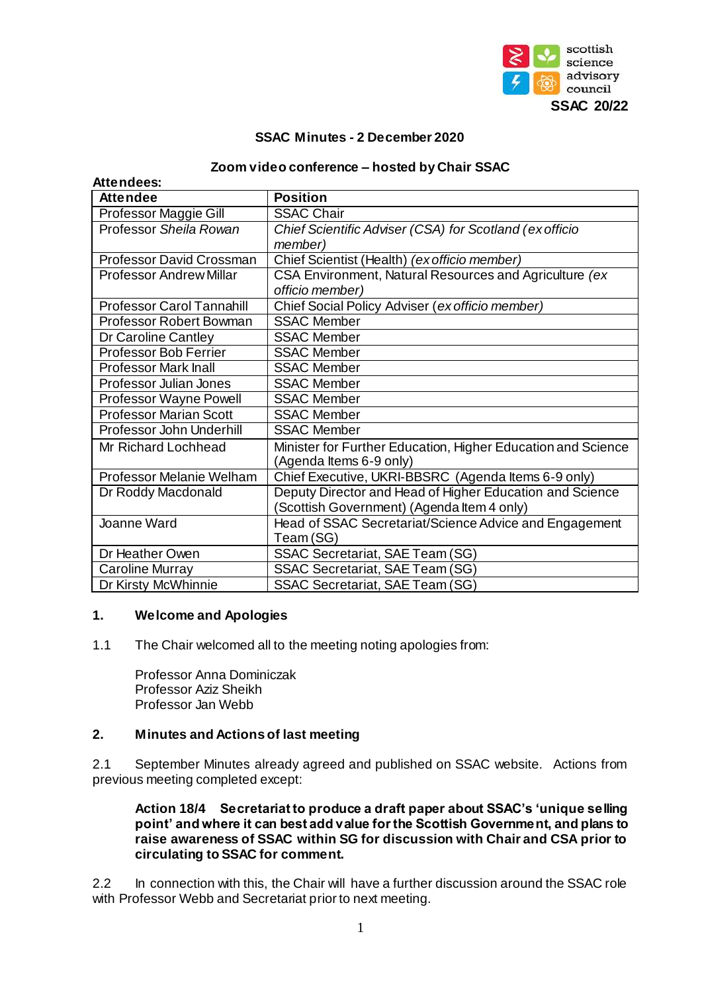

## **SSAC Minutes - 2 December 2020**

#### **Zoom video conference – hosted by Chair SSAC**

| Attendees:                       |                                                                                         |  |  |
|----------------------------------|-----------------------------------------------------------------------------------------|--|--|
| <b>Attendee</b>                  | <b>Position</b>                                                                         |  |  |
| Professor Maggie Gill            | <b>SSAC Chair</b>                                                                       |  |  |
| Professor Sheila Rowan           | Chief Scientific Adviser (CSA) for Scotland (ex officio                                 |  |  |
|                                  | <i>member</i> )                                                                         |  |  |
| <b>Professor David Crossman</b>  | Chief Scientist (Health) (ex officio member)                                            |  |  |
| Professor Andrew Millar          | CSA Environment, Natural Resources and Agriculture (ex                                  |  |  |
|                                  | officio member)                                                                         |  |  |
| <b>Professor Carol Tannahill</b> | Chief Social Policy Adviser (ex officio member)                                         |  |  |
| <b>Professor Robert Bowman</b>   | <b>SSAC Member</b>                                                                      |  |  |
| Dr Caroline Cantley              | <b>SSAC Member</b>                                                                      |  |  |
| <b>Professor Bob Ferrier</b>     | <b>SSAC Member</b>                                                                      |  |  |
| <b>Professor Mark Inall</b>      | <b>SSAC Member</b>                                                                      |  |  |
| Professor Julian Jones           | <b>SSAC Member</b>                                                                      |  |  |
| Professor Wayne Powell           | <b>SSAC Member</b>                                                                      |  |  |
| <b>Professor Marian Scott</b>    | <b>SSAC Member</b>                                                                      |  |  |
| Professor John Underhill         | <b>SSAC Member</b>                                                                      |  |  |
| Mr Richard Lochhead              | Minister for Further Education, Higher Education and Science<br>(Agenda Items 6-9 only) |  |  |
| Professor Melanie Welham         | Chief Executive, UKRI-BBSRC (Agenda Items 6-9 only)                                     |  |  |
| Dr Roddy Macdonald               | Deputy Director and Head of Higher Education and Science                                |  |  |
|                                  | (Scottish Government) (Agenda Item 4 only)                                              |  |  |
| Joanne Ward                      | Head of SSAC Secretariat/Science Advice and Engagement                                  |  |  |
|                                  | Team (SG)                                                                               |  |  |
| Dr Heather Owen                  | SSAC Secretariat, SAE Team (SG)                                                         |  |  |
| Caroline Murray                  | SSAC Secretariat, SAE Team (SG)                                                         |  |  |
| Dr Kirsty McWhinnie              | SSAC Secretariat, SAE Team (SG)                                                         |  |  |

### **1. Welcome and Apologies**

1.1 The Chair welcomed all to the meeting noting apologies from:

Professor Anna Dominiczak Professor Aziz Sheikh Professor Jan Webb

### **2. Minutes and Actions of last meeting**

2.1 September Minutes already agreed and published on SSAC website. Actions from previous meeting completed except:

#### **Action 18/4 Secretariat to produce a draft paper about SSAC's 'unique selling point' and where it can best add value for the Scottish Government, and plans to raise awareness of SSAC within SG for discussion with Chair and CSA prior to circulating to SSAC for comment.**

2.2 In connection with this, the Chair will have a further discussion around the SSAC role with Professor Webb and Secretariat prior to next meeting.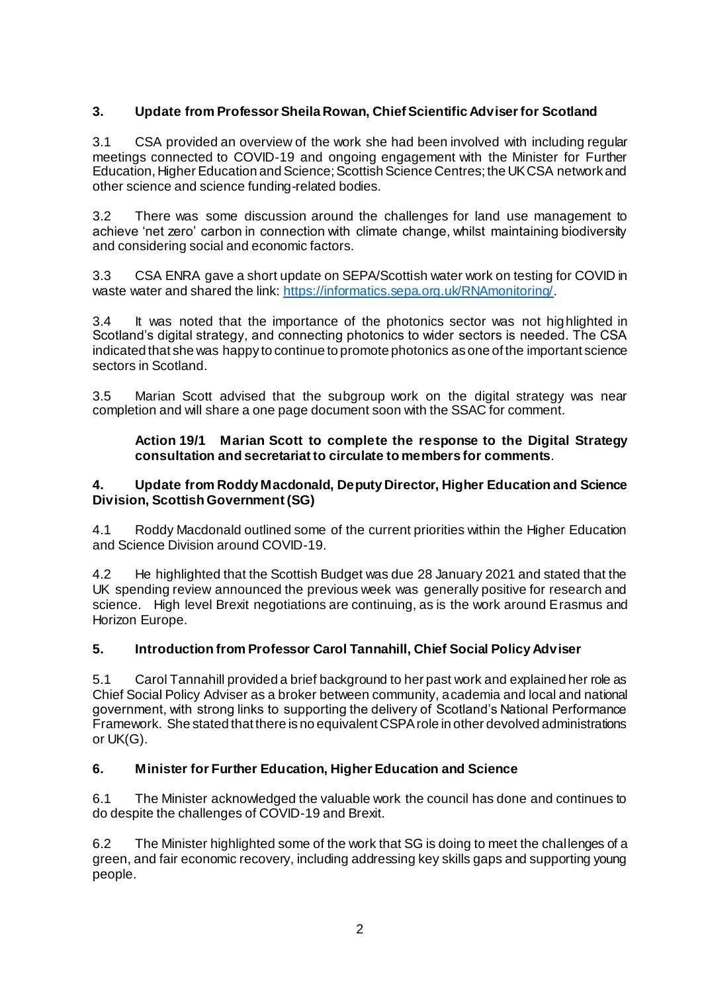# **3. Update from Professor Sheila Rowan, Chief Scientific Adviser for Scotland**

3.1 CSA provided an overview of the work she had been involved with including regular meetings connected to COVID-19 and ongoing engagement with the Minister for Further Education, Higher Education and Science; Scottish Science Centres; the UK CSA network and other science and science funding-related bodies.

3.2 There was some discussion around the challenges for land use management to achieve 'net zero' carbon in connection with climate change, whilst maintaining biodiversity and considering social and economic factors.

3.3 CSA ENRA gave a short update on SEPA/Scottish water work on testing for COVID in waste water and shared the link[: https://informatics.sepa.org.uk/RNAmonitoring/](https://informatics.sepa.org.uk/RNAmonitoring/)

3.4 It was noted that the importance of the photonics sector was not highlighted in Scotland's digital strategy, and connecting photonics to wider sectors is needed. The CSA indicated that she was happy to continue to promote photonics as one of the important science sectors in Scotland.

3.5 Marian Scott advised that the subgroup work on the digital strategy was near completion and will share a one page document soon with the SSAC for comment.

### **Action 19/1 Marian Scott to complete the response to the Digital Strategy consultation and secretariat to circulate to members for comments**.

### **4. Update from Roddy Macdonald, Deputy Director, Higher Education and Science Division, Scottish Government (SG)**

4.1 Roddy Macdonald outlined some of the current priorities within the Higher Education and Science Division around COVID-19.

4.2 He highlighted that the Scottish Budget was due 28 January 2021 and stated that the UK spending review announced the previous week was generally positive for research and science. High level Brexit negotiations are continuing, as is the work around Erasmus and Horizon Europe.

## **5. Introduction from Professor Carol Tannahill, Chief Social Policy Adviser**

5.1 Carol Tannahill provided a brief background to her past work and explained her role as Chief Social Policy Adviser as a broker between community, academia and local and national government, with strong links to supporting the delivery of Scotland's National Performance Framework. She stated that there is no equivalent CSPA role in other devolved administrations or UK(G).

## **6. Minister for Further Education, Higher Education and Science**

6.1 The Minister acknowledged the valuable work the council has done and continues to do despite the challenges of COVID-19 and Brexit.

6.2 The Minister highlighted some of the work that SG is doing to meet the challenges of a green, and fair economic recovery, including addressing key skills gaps and supporting young people.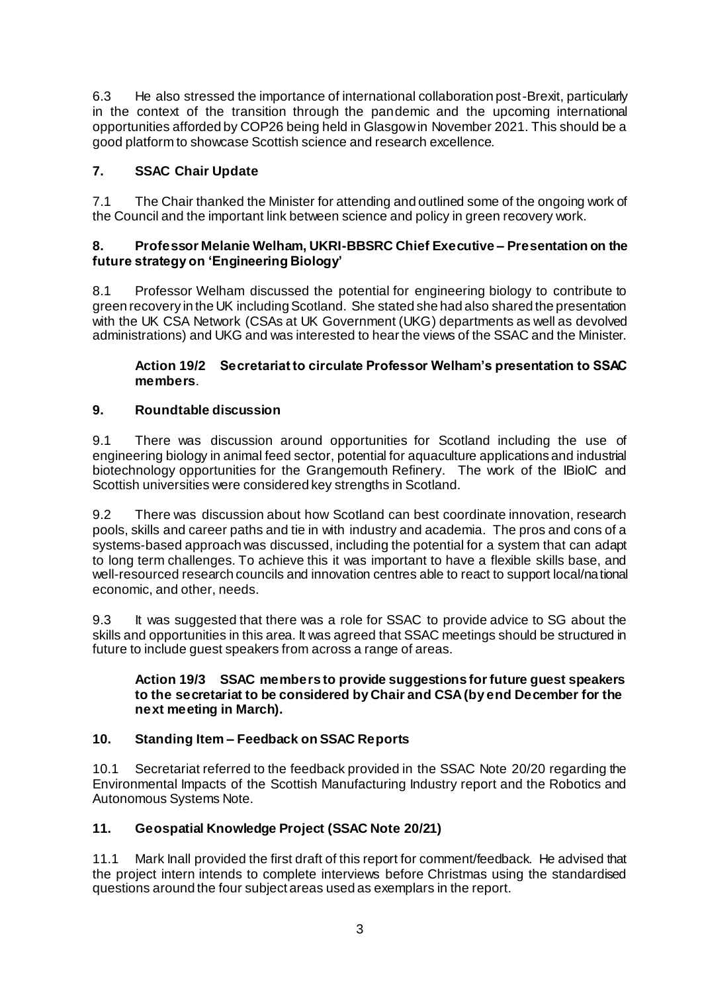6.3 He also stressed the importance of international collaboration post-Brexit, particularly in the context of the transition through the pandemic and the upcoming international opportunities afforded by COP26 being held in Glasgow in November 2021. This should be a good platform to showcase Scottish science and research excellence.

# **7. SSAC Chair Update**

7.1 The Chair thanked the Minister for attending and outlined some of the ongoing work of the Council and the important link between science and policy in green recovery work.

### **8. Professor Melanie Welham, UKRI-BBSRC Chief Executive – Presentation on the future strategy on 'Engineering Biology'**

8.1 Professor Welham discussed the potential for engineering biology to contribute to green recovery in the UK including Scotland. She stated she had also shared the presentation with the UK CSA Network (CSAs at UK Government (UKG) departments as well as devolved administrations) and UKG and was interested to hear the views of the SSAC and the Minister.

## **Action 19/2 Secretariat to circulate Professor Welham's presentation to SSAC members**.

## **9. Roundtable discussion**

9.1 There was discussion around opportunities for Scotland including the use of engineering biology in animal feed sector, potential for aquaculture applications and industrial biotechnology opportunities for the Grangemouth Refinery. The work of the IBioIC and Scottish universities were considered key strengths in Scotland.

9.2 There was discussion about how Scotland can best coordinate innovation, research pools, skills and career paths and tie in with industry and academia. The pros and cons of a systems-based approach was discussed, including the potential for a system that can adapt to long term challenges. To achieve this it was important to have a flexible skills base, and well-resourced research councils and innovation centres able to react to support local/national economic, and other, needs.

9.3 It was suggested that there was a role for SSAC to provide advice to SG about the skills and opportunities in this area. It was agreed that SSAC meetings should be structured in future to include guest speakers from across a range of areas.

### **Action 19/3 SSAC members to provide suggestions for future guest speakers to the secretariat to be considered by Chair and CSA (by end December for the next meeting in March).**

## **10. Standing Item – Feedback on SSAC Reports**

10.1 Secretariat referred to the feedback provided in the SSAC Note 20/20 regarding the Environmental Impacts of the Scottish Manufacturing Industry report and the Robotics and Autonomous Systems Note.

## **11. Geospatial Knowledge Project (SSAC Note 20/21)**

11.1 Mark Inall provided the first draft of this report for comment/feedback. He advised that the project intern intends to complete interviews before Christmas using the standardised questions around the four subject areas used as exemplars in the report.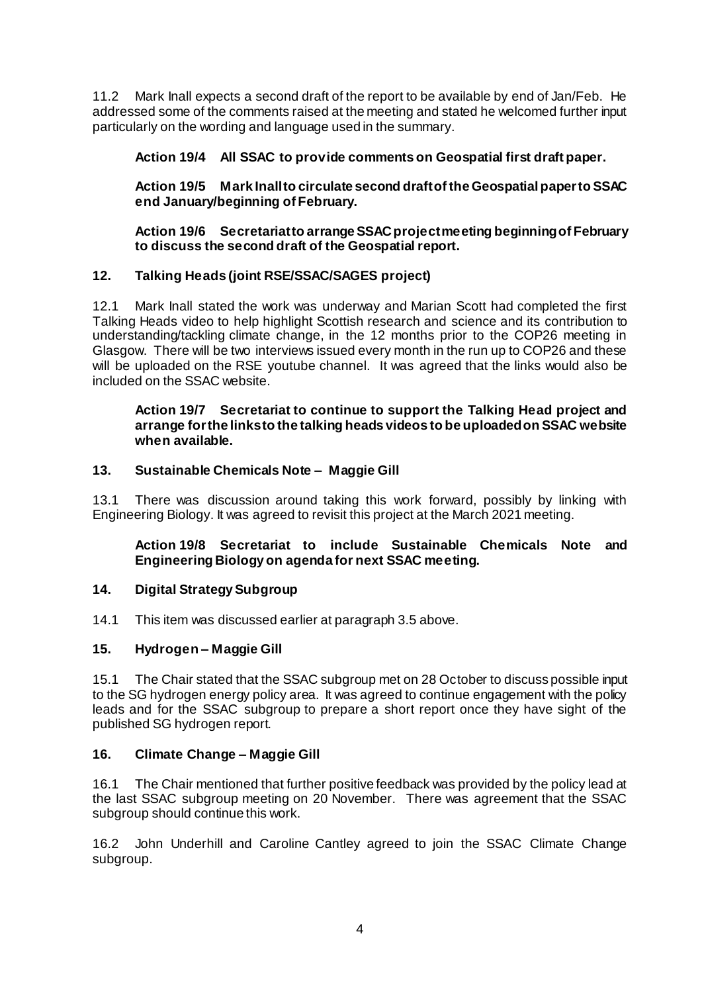11.2 Mark Inall expects a second draft of the report to be available by end of Jan/Feb. He addressed some of the comments raised at the meeting and stated he welcomed further input particularly on the wording and language used in the summary.

## **Action 19/4 All SSAC to provide comments on Geospatial first draft paper.**

**Action 19/5 Mark Inall to circulate second draft of the Geospatial paper to SSAC end January/beginning of February.**

**Action 19/6 Secretariat to arrange SSAC project meeting beginning of February to discuss the second draft of the Geospatial report.**

### **12. Talking Heads (joint RSE/SSAC/SAGES project)**

12.1 Mark Inall stated the work was underway and Marian Scott had completed the first Talking Heads video to help highlight Scottish research and science and its contribution to understanding/tackling climate change, in the 12 months prior to the COP26 meeting in Glasgow. There will be two interviews issued every month in the run up to COP26 and these will be uploaded on the RSE youtube channel. It was agreed that the links would also be included on the SSAC website.

#### **Action 19/7 Secretariat to continue to support the Talking Head project and arrange for the links to the talking heads videos to be uploaded on SSAC website when available.**

#### **13. Sustainable Chemicals Note – Maggie Gill**

13.1 There was discussion around taking this work forward, possibly by linking with Engineering Biology. It was agreed to revisit this project at the March 2021 meeting.

**Action 19/8 Secretariat to include Sustainable Chemicals Note and Engineering Biology on agenda for next SSAC meeting.**

### **14. Digital Strategy Subgroup**

14.1 This item was discussed earlier at paragraph 3.5 above.

### **15. Hydrogen – Maggie Gill**

15.1 The Chair stated that the SSAC subgroup met on 28 October to discuss possible input to the SG hydrogen energy policy area. It was agreed to continue engagement with the policy leads and for the SSAC subgroup to prepare a short report once they have sight of the published SG hydrogen report.

### **16. Climate Change – Maggie Gill**

16.1 The Chair mentioned that further positive feedback was provided by the policy lead at the last SSAC subgroup meeting on 20 November. There was agreement that the SSAC subgroup should continue this work.

16.2 John Underhill and Caroline Cantley agreed to join the SSAC Climate Change subgroup.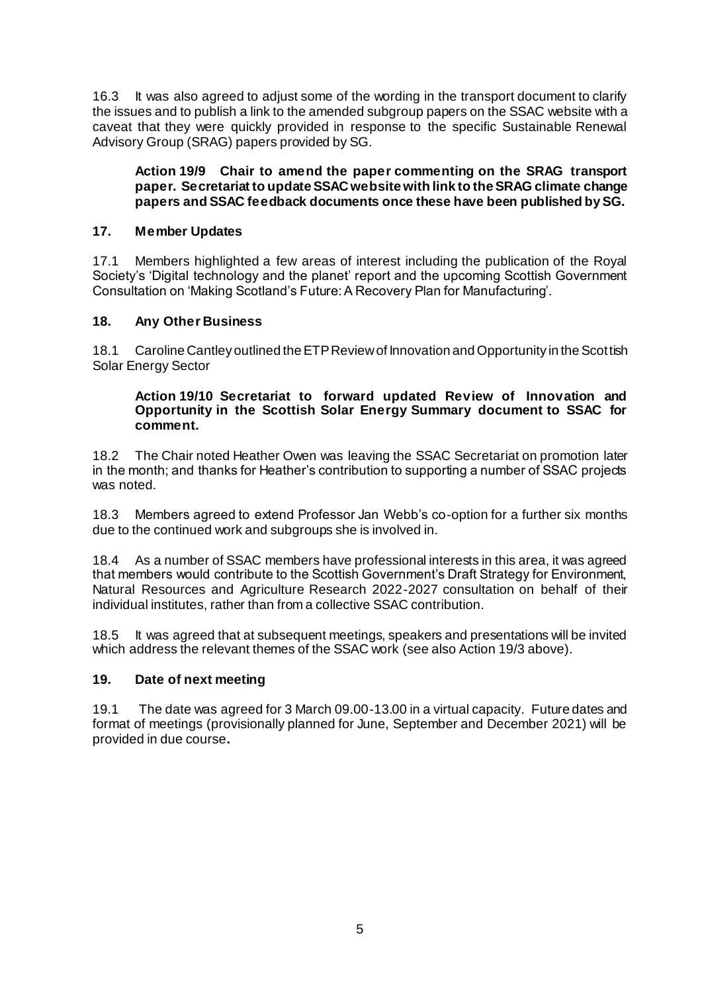16.3 It was also agreed to adjust some of the wording in the transport document to clarify the issues and to publish a link to the amended subgroup papers on the SSAC website with a caveat that they were quickly provided in response to the specific Sustainable Renewal Advisory Group (SRAG) papers provided by SG.

### **Action 19/9 Chair to amend the paper commenting on the SRAG transport paper. Secretariat to update SSAC website with link to the SRAG climate change papers and SSAC feedback documents once these have been published by SG.**

### **17. Member Updates**

17.1 Members highlighted a few areas of interest including the publication of the Royal Society's 'Digital technology and the planet' report and the upcoming Scottish Government Consultation on 'Making Scotland's Future: A Recovery Plan for Manufacturing'.

### **18. Any Other Business**

18.1 Caroline Cantley outlined the ETP Review of Innovation and Opportunity in the Scottish Solar Energy Sector

#### **Action 19/10 Secretariat to forward updated Review of Innovation and Opportunity in the Scottish Solar Energy Summary document to SSAC for comment.**

18.2 The Chair noted Heather Owen was leaving the SSAC Secretariat on promotion later in the month; and thanks for Heather's contribution to supporting a number of SSAC projects was noted.

18.3 Members agreed to extend Professor Jan Webb's co-option for a further six months due to the continued work and subgroups she is involved in.

18.4 As a number of SSAC members have professional interests in this area, it was agreed that members would contribute to the Scottish Government's Draft Strategy for Environment, Natural Resources and Agriculture Research 2022-2027 consultation on behalf of their individual institutes, rather than from a collective SSAC contribution.

18.5 It was agreed that at subsequent meetings, speakers and presentations will be invited which address the relevant themes of the SSAC work (see also Action 19/3 above).

### **19. Date of next meeting**

19.1 The date was agreed for 3 March 09.00-13.00 in a virtual capacity. Future dates and format of meetings (provisionally planned for June, September and December 2021) will be provided in due course**.**